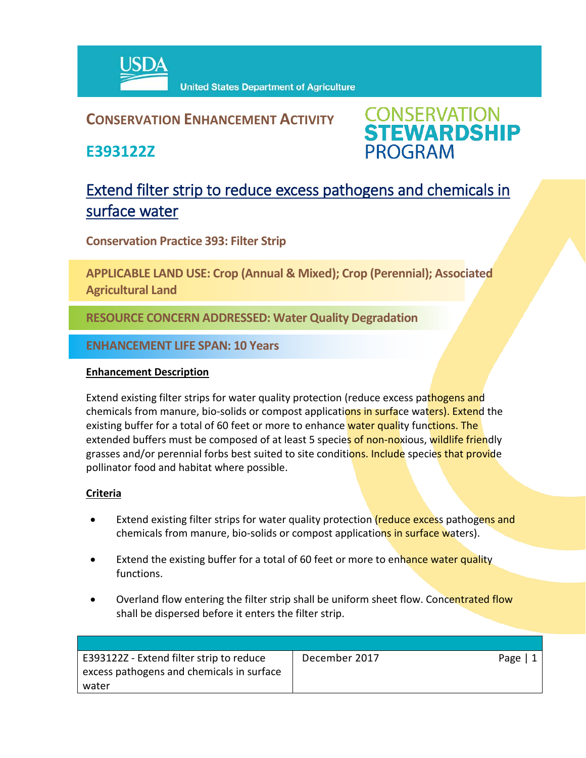

# **CONSERVATION ENHANCEMENT ACTIVITY**

**E393122Z**



# Extend filter strip to reduce excess pathogens and chemicals in surface water

**Conservation Practice 393: Filter Strip**

**APPLICABLE LAND USE: Crop (Annual & Mixed); Crop (Perennial); Associated Agricultural Land**

**RESOURCE CONCERN ADDRESSED: Water Quality Degradation**

**ENHANCEMENT LIFE SPAN: 10 Years**

## **Enhancement Description**

Extend existing filter strips for water quality protection (reduce excess pathogens and chemicals from manure, bio-solids or compost applications in surface waters). Extend the existing buffer for a total of 60 feet or more to enhance water quality functions. The extended buffers must be composed of at least 5 species of non-noxious, wildlife friendly grasses and/or perennial forbs best suited to site conditions. Include species that provide pollinator food and habitat where possible.

# **Criteria**

- Extend existing filter strips for water quality protection (reduce excess pathogens and chemicals from manure, bio-solids or compost applications in surface waters).
- Extend the existing buffer for a total of 60 feet or more to enhance water quality functions.
- Overland flow entering the filter strip shall be uniform sheet flow. Concentrated flow shall be dispersed before it enters the filter strip.

| E393122Z - Extend filter strip to reduce  | December 2017 | Page |
|-------------------------------------------|---------------|------|
| excess pathogens and chemicals in surface |               |      |
| water                                     |               |      |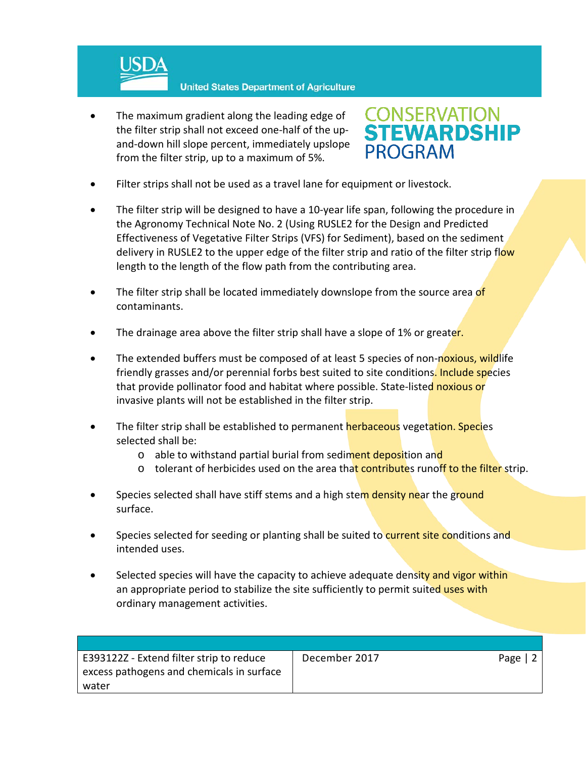

The maximum gradient along the leading edge of the filter strip shall not exceed one-half of the upand-down hill slope percent, immediately upslope from the filter strip, up to a maximum of 5%.



- Filter strips shall not be used as a travel lane for equipment or livestock.
- The filter strip will be designed to have a 10-year life span, following the procedure in the Agronomy Technical Note No. 2 (Using RUSLE2 for the Design and Predicted Effectiveness of Vegetative Filter Strips (VFS) for Sediment), based on the sediment delivery in RUSLE2 to the upper edge of the filter strip and ratio of the filter strip flow length to the length of the flow path from the contributing area.
- The filter strip shall be located immediately downslope from the source area of contaminants.
- The drainage area above the filter strip shall have a slope of 1% or greater.
- The extended buffers must be composed of at least 5 species of non-noxious, wildlife friendly grasses and/or perennial forbs best suited to site conditions. Include species that provide pollinator food and habitat where possible. State-listed noxious or invasive plants will not be established in the filter strip.
- The filter strip shall be established to permanent herbaceous vegetation. Species selected shall be:
	- o able to withstand partial burial from sediment deposition and
	- $\circ$  tolerant of herbicides used on the area that contributes runoff to the filter strip.
- Species selected shall have stiff stems and a high stem density near the ground surface.
- Species selected for seeding or planting shall be suited to **current site conditions and** intended uses.
- Selected species will have the capacity to achieve adequate density and vigor within an appropriate period to stabilize the site sufficiently to permit suited uses with ordinary management activities.

| E393122Z - Extend filter strip to reduce  | December 2017 | Page $ 2$ |
|-------------------------------------------|---------------|-----------|
| excess pathogens and chemicals in surface |               |           |
| water                                     |               |           |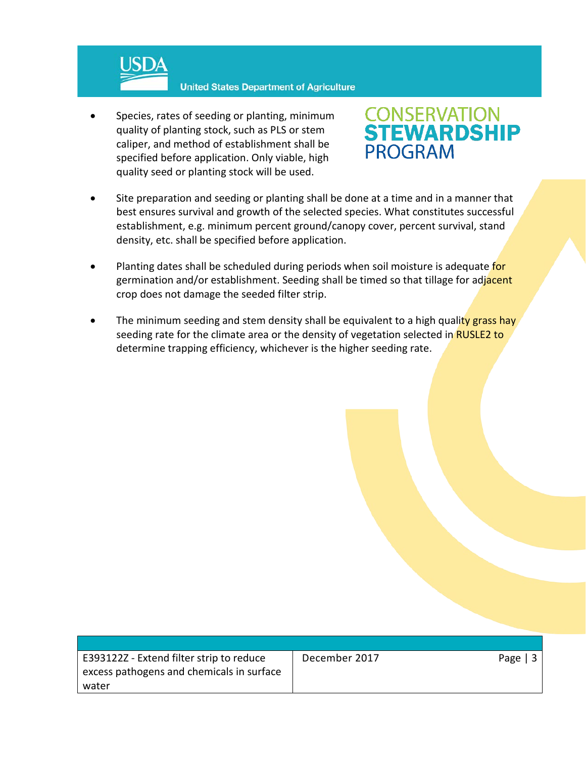

Species, rates of seeding or planting, minimum quality of planting stock, such as PLS or stem caliper, and method of establishment shall be specified before application. Only viable, high quality seed or planting stock will be used.



- Site preparation and seeding or planting shall be done at a time and in a manner that best ensures survival and growth of the selected species. What constitutes successful establishment, e.g. minimum percent ground/canopy cover, percent survival, stand density, etc. shall be specified before application.
- Planting dates shall be scheduled during periods when soil moisture is adequate for germination and/or establishment. Seeding shall be timed so that tillage for adjacent crop does not damage the seeded filter strip.
- The minimum seeding and stem density shall be equivalent to a high quality grass hay seeding rate for the climate area or the density of vegetation selected in RUSLE2 to determine trapping efficiency, whichever is the higher seeding rate.

| E393122Z - Extend filter strip to reduce  |  |
|-------------------------------------------|--|
| excess pathogens and chemicals in surface |  |
| water                                     |  |

December 2017 **Page | 3**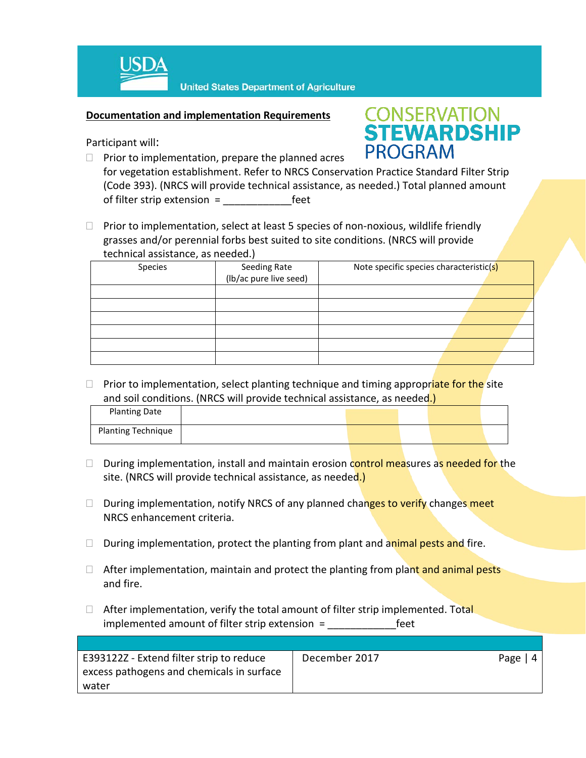

### **Documentation and implementation Requirements**

Participant will:

- **CONSERVATION<br>STEWARDSHIP PROGRAM**
- $\Box$  Prior to implementation, prepare the planned acres for vegetation establishment. Refer to NRCS Conservation Practice Standard Filter Strip (Code 393). (NRCS will provide technical assistance, as needed.) Total planned amount of filter strip extension = Feet
- $\Box$  Prior to implementation, select at least 5 species of non-noxious, wildlife friendly grasses and/or perennial forbs best suited to site conditions. (NRCS will provide technical assistance, as needed.)

| Species | Seeding Rate<br>(lb/ac pure live seed) | Note specific species characteristic(s) |  |
|---------|----------------------------------------|-----------------------------------------|--|
|         |                                        |                                         |  |
|         |                                        |                                         |  |
|         |                                        |                                         |  |
|         |                                        |                                         |  |
|         |                                        |                                         |  |
|         |                                        |                                         |  |

□ Prior to implementation, select planting technique and timing appropriate for the site and soil conditions. (NRCS will provide technical assistance, as needed.)

| <b>Planting Date</b>      |  |  |  |
|---------------------------|--|--|--|
| <b>Planting Technique</b> |  |  |  |

- $\Box$  During implementation, install and maintain erosion control measures as needed for the site. (NRCS will provide technical assistance, as needed.)
- $\Box$  During implementation, notify NRCS of any planned changes to verify changes meet NRCS enhancement criteria.
- $\Box$  During implementation, protect the planting from plant and animal pests and fire.
- $\Box$  After implementation, maintain and protect the planting from plant and animal pests and fire.
- $\Box$  After implementation, verify the total amount of filter strip implemented. Total implemented amount of filter strip extension = \_\_\_\_\_\_\_\_\_\_\_\_feet

| E393122Z - Extend filter strip to reduce  | December 2017 | Page |
|-------------------------------------------|---------------|------|
| excess pathogens and chemicals in surface |               |      |
| water                                     |               |      |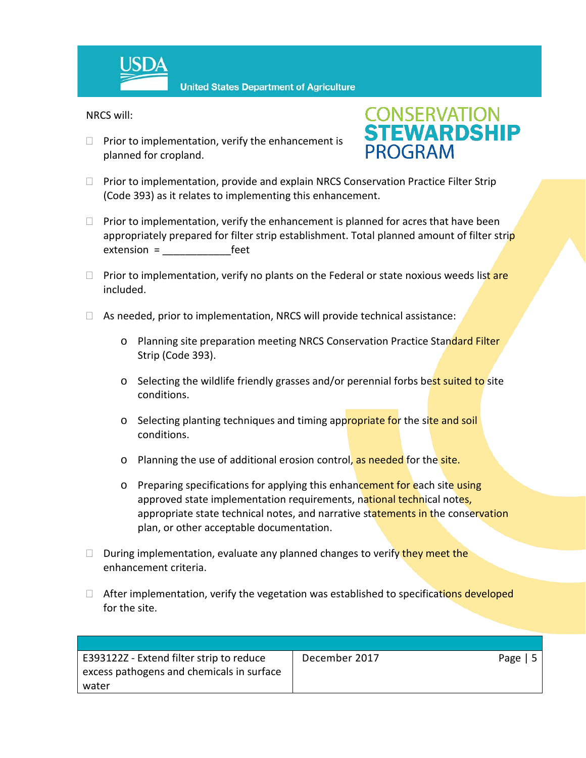

**United States Department of Agriculture** 

NRCS will:

 $\Box$  Prior to implementation, verify the enhancement is planned for cropland.



- $\Box$  Prior to implementation, provide and explain NRCS Conservation Practice Filter Strip (Code 393) as it relates to implementing this enhancement.
- $\Box$  Prior to implementation, verify the enhancement is planned for acres that have been appropriately prepared for filter strip establishment. Total planned amount of filter strip extension = extension =
- $\Box$  Prior to implementation, verify no plants on the Federal or state noxious weeds list are included.
- $\Box$  As needed, prior to implementation, NRCS will provide technical assistance:
	- o Planning site preparation meeting NRCS Conservation Practice Standard Filter Strip (Code 393).
	- o Selecting the wildlife friendly grasses and/or perennial forbs best suited to site conditions.
	- o Selecting planting techniques and timing appropriate for the site and soil conditions.
	- o Planning the use of additional erosion control, as needed for the site.
	- o Preparing specifications for applying this enhancement for each site using approved state implementation requirements, national technical notes, appropriate state technical notes, and narrative statements in the conservation plan, or other acceptable documentation.
- $\Box$  During implementation, evaluate any planned changes to verify they meet the enhancement criteria.
- $\Box$  After implementation, verify the vegetation was established to specifications developed for the site.

| E393122Z - Extend filter strip to reduce  | December 2017 | Page $\vert 5$ |
|-------------------------------------------|---------------|----------------|
| excess pathogens and chemicals in surface |               |                |
| water                                     |               |                |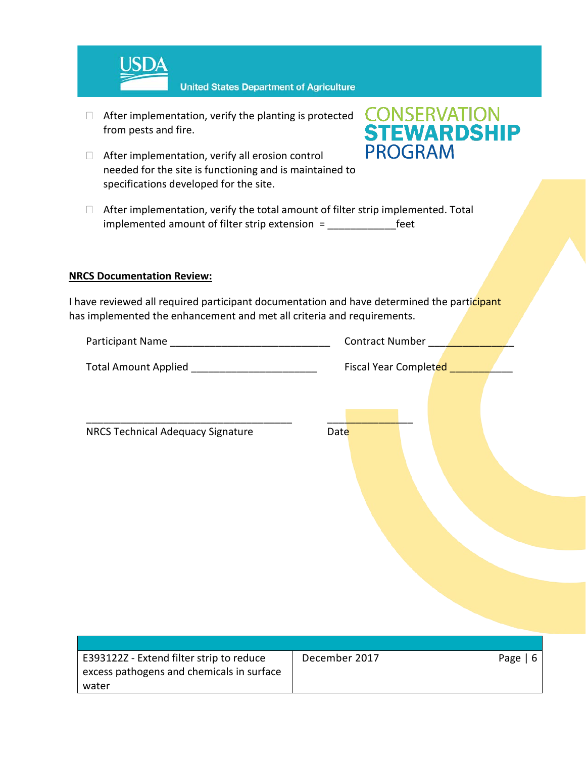

- $\Box$  After implementation, verify the planting is protected from pests and fire.
- $\Box$  After implementation, verify all erosion control needed for the site is functioning and is maintained to specifications developed for the site.



 $\Box$  After implementation, verify the total amount of filter strip implemented. Total implemented amount of filter strip extension = The rest

### **NRCS Documentation Review:**

excess pathogens and chemicals in surface

water

I have reviewed all required participant documentation and have determined the participant has implemented the enhancement and met all criteria and requirements.

| Total Amount Applied _________________________ | Fiscal Year Completed ____ |            |
|------------------------------------------------|----------------------------|------------|
| NRCS Technical Adequacy Signature              | Date                       |            |
| E393122Z - Extend filter strip to reduce       | December 2017              | Page $  6$ |
|                                                |                            |            |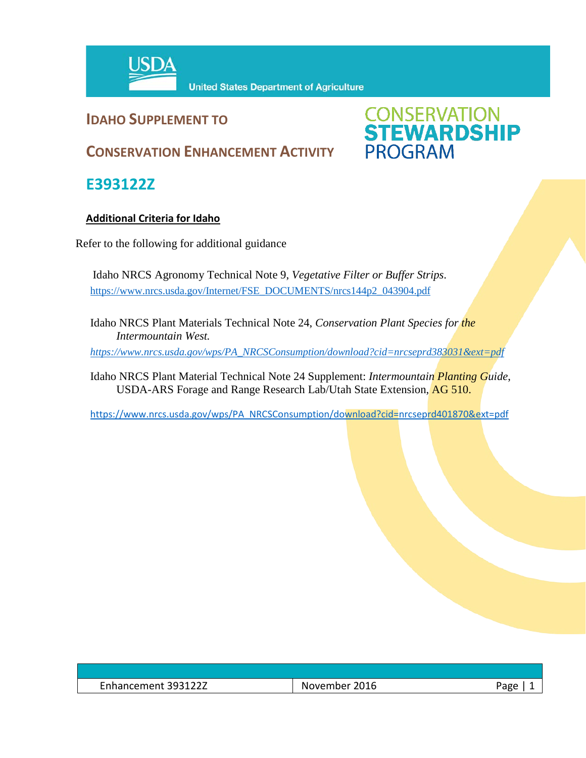

# **IDAHO SUPPLEMENT TO**

# **CONSERVATION<br>STEWARDSHIP**<br>PROGRAM

# **CONSERVATION ENHANCEMENT ACTIVITY**

**E393122Z**

# **Additional Criteria for Idaho**

Refer to the following for additional guidance

Idaho NRCS Agronomy Technical Note 9, *Vegetative Filter or Buffer Strips*. [https://www.nrcs.usda.gov/Internet/FSE\\_DOCUMENTS/nrcs144p2\\_043904.pdf](https://www.nrcs.usda.gov/Internet/FSE_DOCUMENTS/nrcs144p2_043904.pdf)

Idaho NRCS Plant Materials Technical Note 24, *Conservation Plant Species for the Intermountain West.* 

*[https://www.nrcs.usda.gov/wps/PA\\_NRCSConsumption/download?cid=nrcseprd383031&ext=pdf](https://www.nrcs.usda.gov/wps/PA_NRCSConsumption/download?cid=nrcseprd383031&ext=pdf)*

Idaho NRCS Plant Material Technical Note 24 Supplement: *Intermountain Planting Guide*, USDA-ARS Forage and Range Research Lab/Utah State Extension, AG 510.

[https://www.nrcs.usda.gov/wps/PA\\_NRCSConsumption/download?cid=nrcseprd401870&ext=pdf](https://www.nrcs.usda.gov/wps/PA_NRCSConsumption/download?cid=nrcseprd401870&ext=pdf)

| $\overline{\phantom{0}}$<br>י 103127<br>:mnancement 3931222 | 2016<br>November | $\sim$ |
|-------------------------------------------------------------|------------------|--------|
|                                                             |                  |        |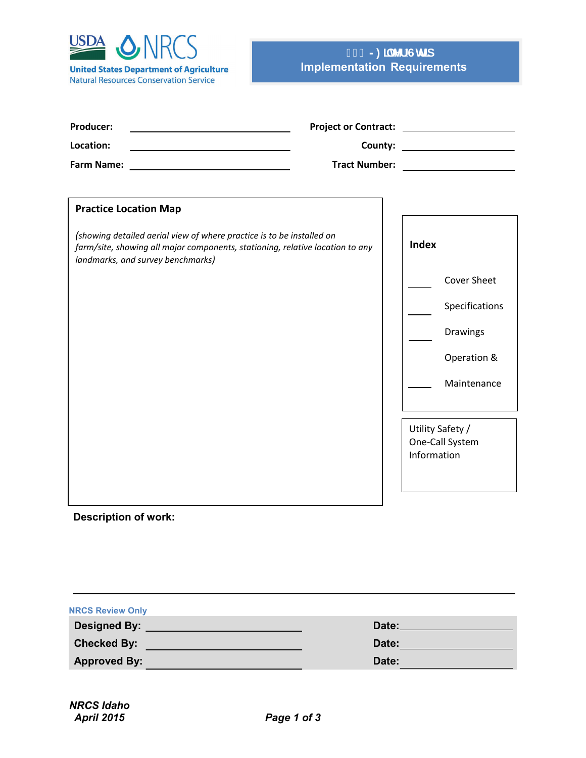

# **Implementation Requirements - )LOWHU6WULS**

| Producer:<br>Location:<br><u> 1980 - Johann Barbara, martxa alemaniar arg</u><br><b>Farm Name:</b>                                                                                                                          | <b>Tract Number:</b> |              | County: ________________________<br><u> 1990 - Jan Barbara Barat, prima politik</u> |
|-----------------------------------------------------------------------------------------------------------------------------------------------------------------------------------------------------------------------------|----------------------|--------------|-------------------------------------------------------------------------------------|
| <b>Practice Location Map</b><br>(showing detailed aerial view of where practice is to be installed on<br>farm/site, showing all major components, stationing, relative location to any<br>landmarks, and survey benchmarks) |                      | <b>Index</b> | <b>Cover Sheet</b><br>Specifications<br>Drawings<br>Operation &<br>Maintenance      |
|                                                                                                                                                                                                                             |                      | Information  | Utility Safety /<br>One-Call System                                                 |

### **Description of work:**

| <b>NRCS Review Only</b> |                 |
|-------------------------|-----------------|
| Designed By: _________  | Date:__________ |
| <b>Checked By:</b>      | Date:           |
| <b>Approved By:</b>     | Date:           |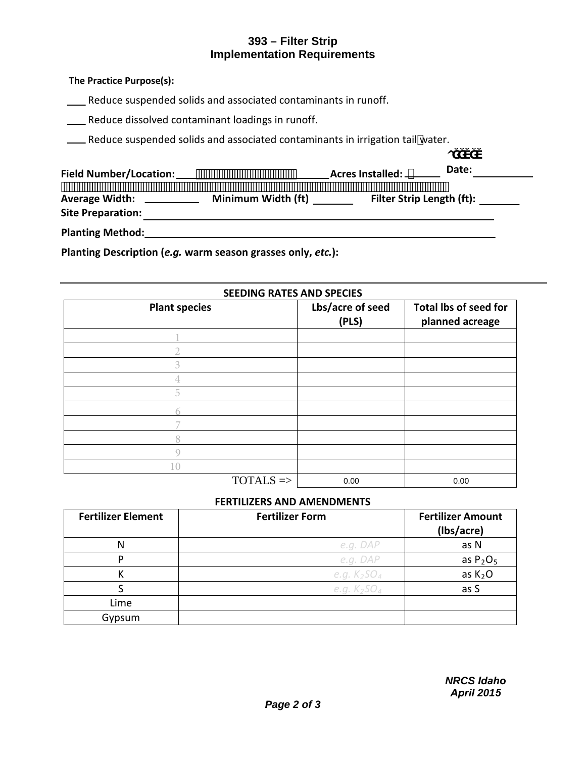# **393 – Filter Strip Implementation Requirements**

### **The Practice Purpose(s):**

Reduce suspended solids and associated contaminants in runoff.

**EXECUTE:** Reduce dissolved contaminant loadings in runoff.

Letter Suspended solids and associated contaminants in irrigation tail water.

| <b>Field Number/Location:</b>                     |                    | Acres Installed: _        | Date: |
|---------------------------------------------------|--------------------|---------------------------|-------|
| <b>Average Width:</b><br><b>Site Preparation:</b> | Minimum Width (ft) | Filter Strip Length (ft): |       |
| <b>Planting Method:</b>                           |                    |                           |       |

**Planting Description (***e.g.* **warm season grasses only,** *etc.***):**

### **SEEDING RATES AND SPECIES Plant species Lbs/acre of seed (PLS) Total lbs of seed for planned acreage**  $TOTALS$   $\Rightarrow$ 1 2 3 4 5 6 7 8 9 10 0.00 0.00

### **FERTILIZERS AND AMENDMENTS**

| <b>Fertilizer Element</b> | <b>Fertilizer Form</b> | <b>Fertilizer Amount</b><br>(Ibs/acre) |
|---------------------------|------------------------|----------------------------------------|
| N                         | e.g. DAP               | as N                                   |
| D                         | e.g. DAP               | as $P_2O_5$                            |
|                           | e.g. $K_2SO_4$         | as $K2O$                               |
|                           | e.g. $K_2SO_4$         | as S                                   |
| Lime                      |                        |                                        |
| Gypsum                    |                        |                                        |